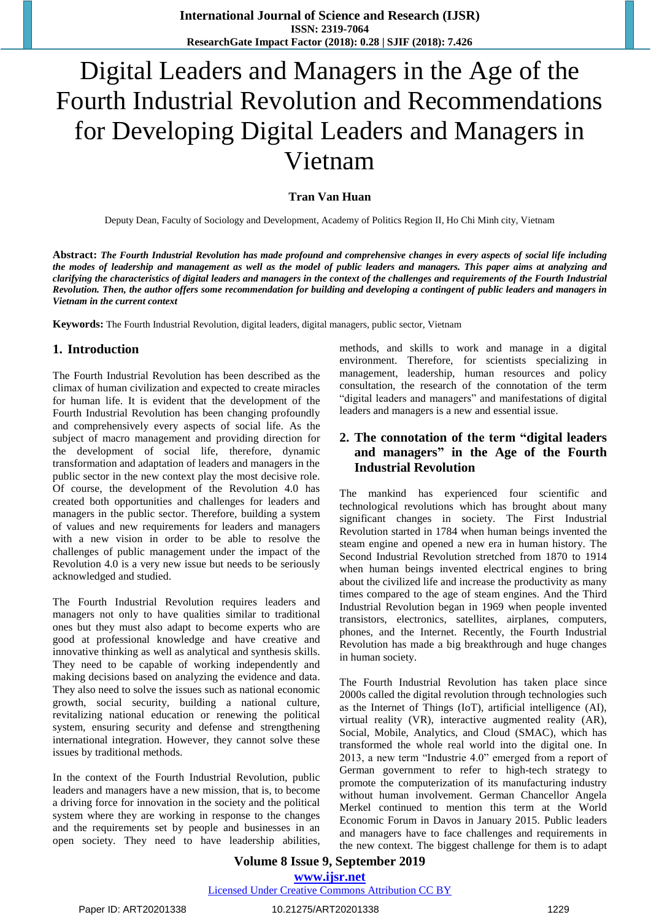# Digital Leaders and Managers in the Age of the Fourth Industrial Revolution and Recommendations for Developing Digital Leaders and Managers in Vietnam

## **Tran Van Huan**

Deputy Dean, Faculty of Sociology and Development, Academy of Politics Region II, Ho Chi Minh city, Vietnam

**Abstract:** *The Fourth Industrial Revolution has made profound and comprehensive changes in every aspects of social life including the modes of leadership and management as well as the model of public leaders and managers. This paper aims at analyzing and clarifying the characteristics of digital leaders and managers in the context of the challenges and requirements of the Fourth Industrial Revolution. Then, the author offers some recommendation for building and developing a contingent of public leaders and managers in Vietnam in the current context*

**Keywords:** The Fourth Industrial Revolution, digital leaders, digital managers, public sector, Vietnam

## **1. Introduction**

The Fourth Industrial Revolution has been described as the climax of human civilization and expected to create miracles for human life. It is evident that the development of the Fourth Industrial Revolution has been changing profoundly and comprehensively every aspects of social life. As the subject of macro management and providing direction for the development of social life, therefore, dynamic transformation and adaptation of leaders and managers in the public sector in the new context play the most decisive role. Of course, the development of the Revolution 4.0 has created both opportunities and challenges for leaders and managers in the public sector. Therefore, building a system of values and new requirements for leaders and managers with a new vision in order to be able to resolve the challenges of public management under the impact of the Revolution 4.0 is a very new issue but needs to be seriously acknowledged and studied.

The Fourth Industrial Revolution requires leaders and managers not only to have qualities similar to traditional ones but they must also adapt to become experts who are good at professional knowledge and have creative and innovative thinking as well as analytical and synthesis skills. They need to be capable of working independently and making decisions based on analyzing the evidence and data. They also need to solve the issues such as national economic growth, social security, building a national culture, revitalizing national education or renewing the political system, ensuring security and defense and strengthening international integration. However, they cannot solve these issues by traditional methods.

In the context of the Fourth Industrial Revolution, public leaders and managers have a new mission, that is, to become a driving force for innovation in the society and the political system where they are working in response to the changes and the requirements set by people and businesses in an open society. They need to have leadership abilities,

methods, and skills to work and manage in a digital environment. Therefore, for scientists specializing in management, leadership, human resources and policy consultation, the research of the connotation of the term "digital leaders and managers" and manifestations of digital leaders and managers is a new and essential issue.

## **2. The connotation of the term "digital leaders and managers" in the Age of the Fourth Industrial Revolution**

The mankind has experienced four scientific and technological revolutions which has brought about many significant changes in society. The First Industrial Revolution started in 1784 when human beings invented the steam engine and opened a new era in human history. The Second Industrial Revolution stretched from 1870 to 1914 when human beings invented electrical engines to bring about the civilized life and increase the productivity as many times compared to the age of steam engines. And the Third Industrial Revolution began in 1969 when people invented transistors, electronics, satellites, airplanes, computers, phones, and the Internet. Recently, the Fourth Industrial Revolution has made a big breakthrough and huge changes in human society.

The Fourth Industrial Revolution has taken place since 2000s called the digital revolution through technologies such as the Internet of Things (IoT), artificial intelligence (AI), virtual reality (VR), interactive augmented reality (AR), Social, Mobile, Analytics, and Cloud (SMAC), which has transformed the whole real world into the digital one. In 2013, a new term "Industrie 4.0" emerged from a report of German government to refer to high-tech strategy to promote the computerization of its manufacturing industry without human involvement. German Chancellor Angela Merkel continued to mention this term at the World Economic Forum in Davos in January 2015. Public leaders and managers have to face challenges and requirements in the new context. The biggest challenge for them is to adapt

#### **Volume 8 Issue 9, September 2019 www.ijsr.net** Licensed Under Creative Commons Attribution CC BY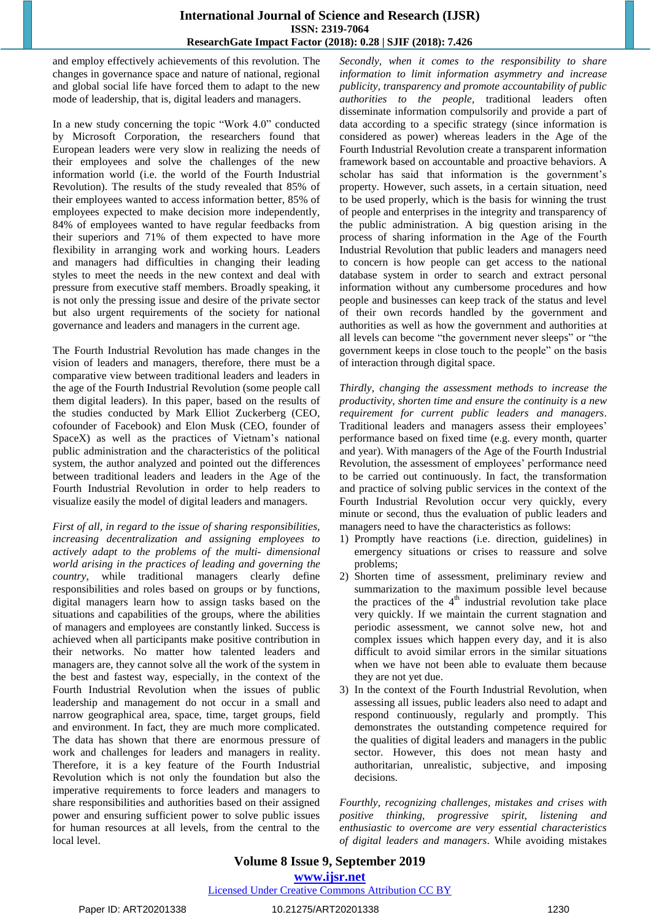and employ effectively achievements of this revolution. The changes in governance space and nature of national, regional and global social life have forced them to adapt to the new mode of leadership, that is, digital leaders and managers.

In a new study concerning the topic "Work 4.0" conducted by Microsoft Corporation, the researchers found that European leaders were very slow in realizing the needs of their employees and solve the challenges of the new information world (i.e. the world of the Fourth Industrial Revolution). The results of the study revealed that 85% of their employees wanted to access information better, 85% of employees expected to make decision more independently, 84% of employees wanted to have regular feedbacks from their superiors and 71% of them expected to have more flexibility in arranging work and working hours. Leaders and managers had difficulties in changing their leading styles to meet the needs in the new context and deal with pressure from executive staff members. Broadly speaking, it is not only the pressing issue and desire of the private sector but also urgent requirements of the society for national governance and leaders and managers in the current age.

The Fourth Industrial Revolution has made changes in the vision of leaders and managers, therefore, there must be a comparative view between traditional leaders and leaders in the age of the Fourth Industrial Revolution (some people call them digital leaders). In this paper, based on the results of the studies conducted by Mark Elliot Zuckerberg (CEO, cofounder of Facebook) and Elon Musk (CEO, founder of SpaceX) as well as the practices of Vietnam's national public administration and the characteristics of the political system, the author analyzed and pointed out the differences between traditional leaders and leaders in the Age of the Fourth Industrial Revolution in order to help readers to visualize easily the model of digital leaders and managers.

*First of all, in regard to the issue of sharing responsibilities, increasing decentralization and assigning employees to actively adapt to the problems of the multi- dimensional world arising in the practices of leading and governing the country*, while traditional managers clearly define responsibilities and roles based on groups or by functions, digital managers learn how to assign tasks based on the situations and capabilities of the groups, where the abilities of managers and employees are constantly linked. Success is achieved when all participants make positive contribution in their networks. No matter how talented leaders and managers are, they cannot solve all the work of the system in the best and fastest way, especially, in the context of the Fourth Industrial Revolution when the issues of public leadership and management do not occur in a small and narrow geographical area, space, time, target groups, field and environment. In fact, they are much more complicated. The data has shown that there are enormous pressure of work and challenges for leaders and managers in reality. Therefore, it is a key feature of the Fourth Industrial Revolution which is not only the foundation but also the imperative requirements to force leaders and managers to share responsibilities and authorities based on their assigned power and ensuring sufficient power to solve public issues for human resources at all levels, from the central to the local level.

*Secondly, when it comes to the responsibility to share information to limit information asymmetry and increase publicity, transparency and promote accountability of public authorities to the people,* traditional leaders often disseminate information compulsorily and provide a part of data according to a specific strategy (since information is considered as power) whereas leaders in the Age of the Fourth Industrial Revolution create a transparent information framework based on accountable and proactive behaviors. A scholar has said that information is the government's property. However, such assets, in a certain situation, need to be used properly, which is the basis for winning the trust of people and enterprises in the integrity and transparency of the public administration. A big question arising in the process of sharing information in the Age of the Fourth Industrial Revolution that public leaders and managers need to concern is how people can get access to the national database system in order to search and extract personal information without any cumbersome procedures and how people and businesses can keep track of the status and level of their own records handled by the government and authorities as well as how the government and authorities at all levels can become "the government never sleeps" or "the government keeps in close touch to the people" on the basis of interaction through digital space.

*Thirdly, changing the assessment methods to increase the productivity, shorten time and ensure the continuity is a new requirement for current public leaders and managers*. Traditional leaders and managers assess their employees' performance based on fixed time (e.g. every month, quarter and year). With managers of the Age of the Fourth Industrial Revolution, the assessment of employees' performance need to be carried out continuously. In fact, the transformation and practice of solving public services in the context of the Fourth Industrial Revolution occur very quickly, every minute or second, thus the evaluation of public leaders and managers need to have the characteristics as follows:

- 1) Promptly have reactions (i.e. direction, guidelines) in emergency situations or crises to reassure and solve problems;
- 2) Shorten time of assessment, preliminary review and summarization to the maximum possible level because the practices of the  $4<sup>th</sup>$  industrial revolution take place very quickly. If we maintain the current stagnation and periodic assessment, we cannot solve new, hot and complex issues which happen every day, and it is also difficult to avoid similar errors in the similar situations when we have not been able to evaluate them because they are not yet due.
- 3) In the context of the Fourth Industrial Revolution, when assessing all issues, public leaders also need to adapt and respond continuously, regularly and promptly. This demonstrates the outstanding competence required for the qualities of digital leaders and managers in the public sector. However, this does not mean hasty and authoritarian, unrealistic, subjective, and imposing decisions.

*Fourthly, recognizing challenges, mistakes and crises with positive thinking, progressive spirit, listening and enthusiastic to overcome are very essential characteristics of digital leaders and managers*. While avoiding mistakes

**Volume 8 Issue 9, September 2019 www.ijsr.net** Licensed Under Creative Commons Attribution CC BY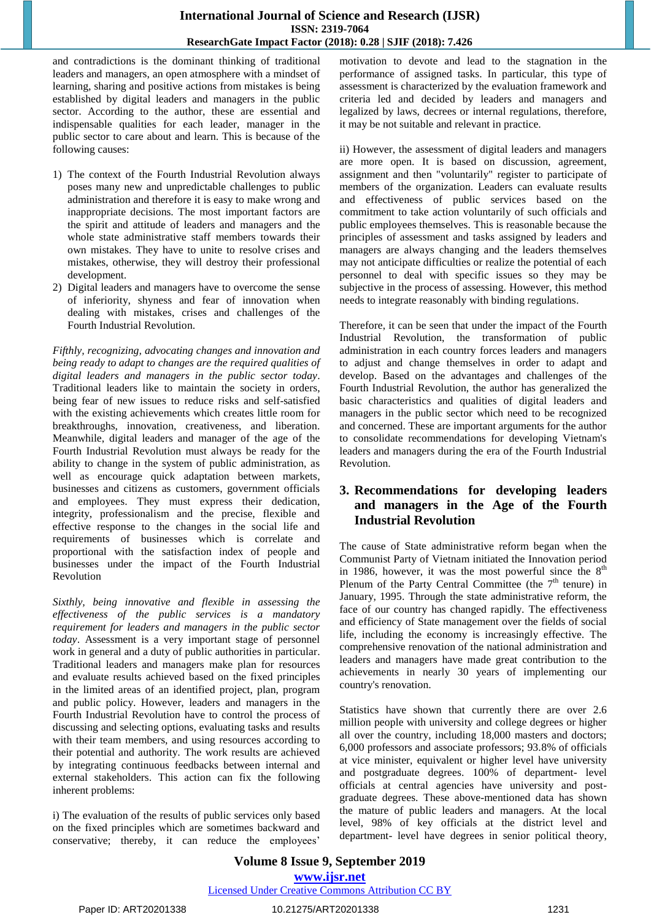and contradictions is the dominant thinking of traditional leaders and managers, an open atmosphere with a mindset of learning, sharing and positive actions from mistakes is being established by digital leaders and managers in the public sector. According to the author, these are essential and indispensable qualities for each leader, manager in the public sector to care about and learn. This is because of the following causes:

- 1) The context of the Fourth Industrial Revolution always poses many new and unpredictable challenges to public administration and therefore it is easy to make wrong and inappropriate decisions. The most important factors are the spirit and attitude of leaders and managers and the whole state administrative staff members towards their own mistakes. They have to unite to resolve crises and mistakes, otherwise, they will destroy their professional development.
- 2) Digital leaders and managers have to overcome the sense of inferiority, shyness and fear of innovation when dealing with mistakes, crises and challenges of the Fourth Industrial Revolution.

*Fifthly, recognizing, advocating changes and innovation and being ready to adapt to changes are the required qualities of digital leaders and managers in the public sector today*. Traditional leaders like to maintain the society in orders, being fear of new issues to reduce risks and self-satisfied with the existing achievements which creates little room for breakthroughs, innovation, creativeness, and liberation. Meanwhile, digital leaders and manager of the age of the Fourth Industrial Revolution must always be ready for the ability to change in the system of public administration, as well as encourage quick adaptation between markets, businesses and citizens as customers, government officials and employees. They must express their dedication, integrity, professionalism and the precise, flexible and effective response to the changes in the social life and requirements of businesses which is correlate and proportional with the satisfaction index of people and businesses under the impact of the Fourth Industrial Revolution

*Sixthly, being innovative and flexible in assessing the effectiveness of the public services is a mandatory requirement for leaders and managers in the public sector today*. Assessment is a very important stage of personnel work in general and a duty of public authorities in particular. Traditional leaders and managers make plan for resources and evaluate results achieved based on the fixed principles in the limited areas of an identified project, plan, program and public policy. However, leaders and managers in the Fourth Industrial Revolution have to control the process of discussing and selecting options, evaluating tasks and results with their team members, and using resources according to their potential and authority. The work results are achieved by integrating continuous feedbacks between internal and external stakeholders. This action can fix the following inherent problems:

i) The evaluation of the results of public services only based on the fixed principles which are sometimes backward and conservative; thereby, it can reduce the employees'

motivation to devote and lead to the stagnation in the performance of assigned tasks. In particular, this type of assessment is characterized by the evaluation framework and criteria led and decided by leaders and managers and legalized by laws, decrees or internal regulations, therefore, it may be not suitable and relevant in practice.

ii) However, the assessment of digital leaders and managers are more open. It is based on discussion, agreement, assignment and then "voluntarily" register to participate of members of the organization. Leaders can evaluate results and effectiveness of public services based on the commitment to take action voluntarily of such officials and public employees themselves. This is reasonable because the principles of assessment and tasks assigned by leaders and managers are always changing and the leaders themselves may not anticipate difficulties or realize the potential of each personnel to deal with specific issues so they may be subjective in the process of assessing. However, this method needs to integrate reasonably with binding regulations.

Therefore, it can be seen that under the impact of the Fourth Industrial Revolution, the transformation of public administration in each country forces leaders and managers to adjust and change themselves in order to adapt and develop. Based on the advantages and challenges of the Fourth Industrial Revolution, the author has generalized the basic characteristics and qualities of digital leaders and managers in the public sector which need to be recognized and concerned. These are important arguments for the author to consolidate recommendations for developing Vietnam's leaders and managers during the era of the Fourth Industrial Revolution.

## **3. Recommendations for developing leaders and managers in the Age of the Fourth Industrial Revolution**

The cause of State administrative reform began when the Communist Party of Vietnam initiated the Innovation period in 1986, however, it was the most powerful since the  $8<sup>th</sup>$ Plenum of the Party Central Committee (the  $7<sup>th</sup>$  tenure) in January, 1995. Through the state administrative reform, the face of our country has changed rapidly. The effectiveness and efficiency of State management over the fields of social life, including the economy is increasingly effective. The comprehensive renovation of the national administration and leaders and managers have made great contribution to the achievements in nearly 30 years of implementing our country's renovation.

Statistics have shown that currently there are over 2.6 million people with university and college degrees or higher all over the country, including 18,000 masters and doctors; 6,000 professors and associate professors; 93.8% of officials at vice minister, equivalent or higher level have university and postgraduate degrees. 100% of department- level officials at central agencies have university and postgraduate degrees. These above-mentioned data has shown the mature of public leaders and managers. At the local level, 98% of key officials at the district level and department- level have degrees in senior political theory,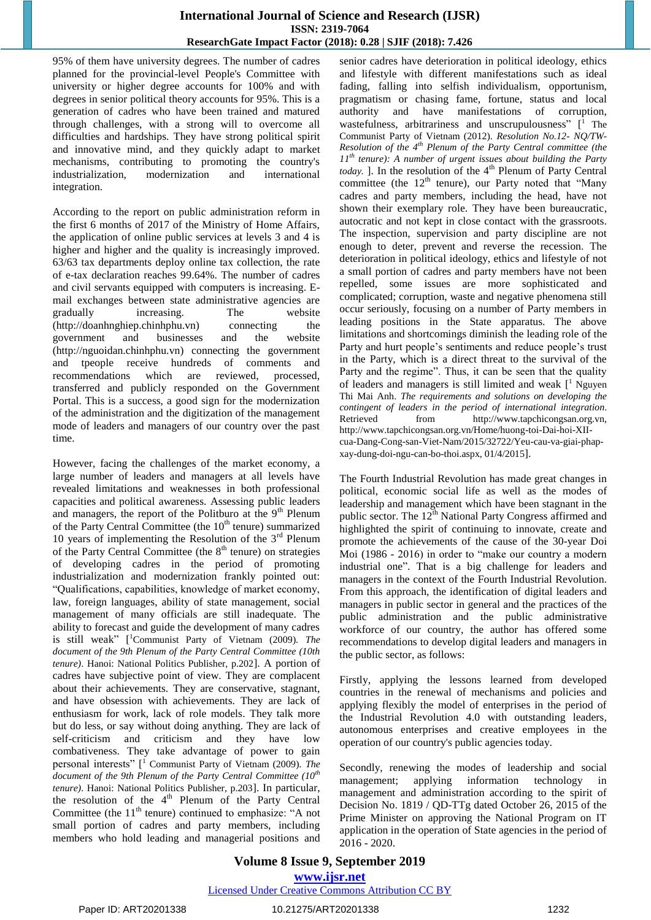95% of them have university degrees. The number of cadres planned for the provincial-level People's Committee with university or higher degree accounts for 100% and with degrees in senior political theory accounts for 95%. This is a generation of cadres who have been trained and matured through challenges, with a strong will to overcome all difficulties and hardships. They have strong political spirit and innovative mind, and they quickly adapt to market mechanisms, contributing to promoting the country's industrialization, modernization and international integration.

According to the report on public administration reform in the first 6 months of 2017 of the Ministry of Home Affairs, the application of online public services at levels 3 and 4 is higher and higher and the quality is increasingly improved. 63/63 tax departments deploy online tax collection, the rate of e-tax declaration reaches 99.64%. The number of cadres and civil servants equipped with computers is increasing. Email exchanges between state administrative agencies are gradually increasing. The website (http://doanhnghiep.chinhphu.vn) connecting the government and businesses and the website (http://nguoidan.chinhphu.vn) connecting the government and tpeople receive hundreds of comments and recommendations which are reviewed, processed, transferred and publicly responded on the Government Portal. This is a success, a good sign for the modernization of the administration and the digitization of the management mode of leaders and managers of our country over the past time.

However, facing the challenges of the market economy, a large number of leaders and managers at all levels have revealed limitations and weaknesses in both professional capacities and political awareness. Assessing public leaders and managers, the report of the Politburo at the  $9<sup>th</sup>$  Plenum of the Party Central Committee (the  $10<sup>th</sup>$  tenure) summarized 10 years of implementing the Resolution of the  $3<sup>rd</sup>$  Plenum of the Party Central Committee (the  $8<sup>th</sup>$  tenure) on strategies of developing cadres in the period of promoting industrialization and modernization frankly pointed out: "Qualifications, capabilities, knowledge of market economy, law, foreign languages, ability of state management, social management of many officials are still inadequate. The ability to forecast and guide the development of many cadres is still weak" [ <sup>1</sup>Communist Party of Vietnam (2009). *The document of the 9th Plenum of the Party Central Committee (10th tenure)*. Hanoi: National Politics Publisher, p.202]. A portion of cadres have subjective point of view. They are complacent about their achievements. They are conservative, stagnant, and have obsession with achievements. They are lack of enthusiasm for work, lack of role models. They talk more but do less, or say without doing anything. They are lack of self-criticism and criticism and they have low combativeness. They take advantage of power to gain personal interests" [ <sup>1</sup> Communist Party of Vietnam (2009). *The document of the 9th Plenum of the Party Central Committee (10th tenure)*. Hanoi: National Politics Publisher, p.203]. In particular, the resolution of the  $4<sup>th</sup>$  Plenum of the Party Central Committee (the  $11<sup>th</sup>$  tenure) continued to emphasize: "A not small portion of cadres and party members, including members who hold leading and managerial positions and

senior cadres have deterioration in political ideology, ethics and lifestyle with different manifestations such as ideal fading, falling into selfish individualism, opportunism, pragmatism or chasing fame, fortune, status and local authority and have manifestations of corruption, wastefulness, arbitrariness and unscrupulousness" [<sup>1</sup> The Communist Party of Vietnam (2012). *Resolution No.12- NQ/TW-Resolution of the 4th Plenum of the Party Central committee (the 11th tenure): A number of urgent issues about building the Party today.* ]. In the resolution of the  $4<sup>th</sup>$  Plenum of Party Central committee (the  $12<sup>th</sup>$  tenure), our Party noted that "Many cadres and party members, including the head, have not shown their exemplary role. They have been bureaucratic, autocratic and not kept in close contact with the grassroots. The inspection, supervision and party discipline are not enough to deter, prevent and reverse the recession. The deterioration in political ideology, ethics and lifestyle of not a small portion of cadres and party members have not been repelled, some issues are more sophisticated and complicated; corruption, waste and negative phenomena still occur seriously, focusing on a number of Party members in leading positions in the State apparatus. The above limitations and shortcomings diminish the leading role of the Party and hurt people's sentiments and reduce people's trust in the Party, which is a direct threat to the survival of the Party and the regime". Thus, it can be seen that the quality of leaders and managers is still limited and weak [ <sup>1</sup> Nguyen Thi Mai Anh. *The requirements and solutions on developing the contingent of leaders in the period of international integration*. Retrieved from http://www.tapchicongsan.org.vn, http://www.tapchicongsan.org.vn/Home/huong-toi-Dai-hoi-XIIcua-Dang-Cong-san-Viet-Nam/2015/32722/Yeu-cau-va-giai-phapxay-dung-doi-ngu-can-bo-thoi.aspx, 01/4/2015].

The Fourth Industrial Revolution has made great changes in political, economic social life as well as the modes of leadership and management which have been stagnant in the public sector. The 12<sup>th</sup> National Party Congress affirmed and highlighted the spirit of continuing to innovate, create and promote the achievements of the cause of the 30-year Doi Moi (1986 - 2016) in order to "make our country a modern industrial one". That is a big challenge for leaders and managers in the context of the Fourth Industrial Revolution. From this approach, the identification of digital leaders and managers in public sector in general and the practices of the public administration and the public administrative workforce of our country, the author has offered some recommendations to develop digital leaders and managers in the public sector, as follows:

Firstly, applying the lessons learned from developed countries in the renewal of mechanisms and policies and applying flexibly the model of enterprises in the period of the Industrial Revolution 4.0 with outstanding leaders, autonomous enterprises and creative employees in the operation of our country's public agencies today.

Secondly, renewing the modes of leadership and social management; applying information technology in management and administration according to the spirit of Decision No. 1819 / QD-TTg dated October 26, 2015 of the Prime Minister on approving the National Program on IT application in the operation of State agencies in the period of 2016 - 2020.

# **Volume 8 Issue 9, September 2019 www.ijsr.net**

Licensed Under Creative Commons Attribution CC BY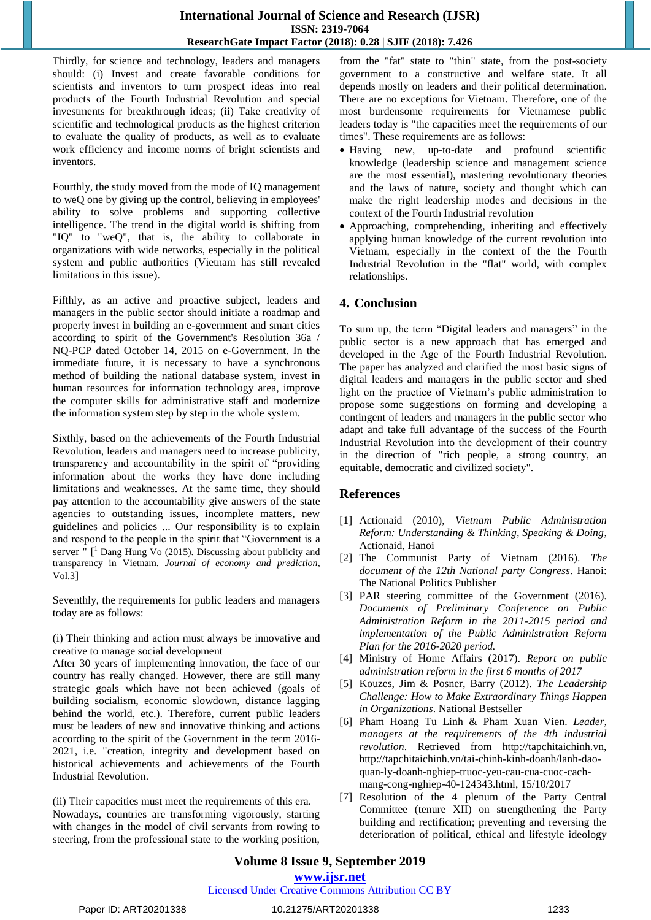Thirdly, for science and technology, leaders and managers should: (i) Invest and create favorable conditions for scientists and inventors to turn prospect ideas into real products of the Fourth Industrial Revolution and special investments for breakthrough ideas; (ii) Take creativity of scientific and technological products as the highest criterion to evaluate the quality of products, as well as to evaluate work efficiency and income norms of bright scientists and inventors.

Fourthly, the study moved from the mode of IQ management to weQ one by giving up the control, believing in employees' ability to solve problems and supporting collective intelligence. The trend in the digital world is shifting from "IQ" to "weQ", that is, the ability to collaborate in organizations with wide networks, especially in the political system and public authorities (Vietnam has still revealed limitations in this issue).

Fifthly, as an active and proactive subject, leaders and managers in the public sector should initiate a roadmap and properly invest in building an e-government and smart cities according to spirit of the Government's Resolution 36a / NQ-PCP dated October 14, 2015 on e-Government. In the immediate future, it is necessary to have a synchronous method of building the national database system, invest in human resources for information technology area, improve the computer skills for administrative staff and modernize the information system step by step in the whole system.

Sixthly, based on the achievements of the Fourth Industrial Revolution, leaders and managers need to increase publicity, transparency and accountability in the spirit of "providing information about the works they have done including limitations and weaknesses. At the same time, they should pay attention to the accountability give answers of the state agencies to outstanding issues, incomplete matters, new guidelines and policies ... Our responsibility is to explain and respond to the people in the spirit that "Government is a server " [ <sup>1</sup> Dang Hung Vo (2015). Discussing about publicity and transparency in Vietnam. *Journal of economy and prediction*, Vol.3]

Seventhly, the requirements for public leaders and managers today are as follows:

(i) Their thinking and action must always be innovative and creative to manage social development

After 30 years of implementing innovation, the face of our country has really changed. However, there are still many strategic goals which have not been achieved (goals of building socialism, economic slowdown, distance lagging behind the world, etc.). Therefore, current public leaders must be leaders of new and innovative thinking and actions according to the spirit of the Government in the term 2016- 2021, i.e. "creation, integrity and development based on historical achievements and achievements of the Fourth Industrial Revolution.

(ii) Their capacities must meet the requirements of this era. Nowadays, countries are transforming vigorously, starting with changes in the model of civil servants from rowing to steering, from the professional state to the working position,

from the "fat" state to "thin" state, from the post-society government to a constructive and welfare state. It all depends mostly on leaders and their political determination. There are no exceptions for Vietnam. Therefore, one of the most burdensome requirements for Vietnamese public leaders today is "the capacities meet the requirements of our times". These requirements are as follows:

- Having new, up-to-date and profound scientific knowledge (leadership science and management science are the most essential), mastering revolutionary theories and the laws of nature, society and thought which can make the right leadership modes and decisions in the context of the Fourth Industrial revolution
- Approaching, comprehending, inheriting and effectively applying human knowledge of the current revolution into Vietnam, especially in the context of the the Fourth Industrial Revolution in the "flat" world, with complex relationships.

## **4. Conclusion**

To sum up, the term "Digital leaders and managers" in the public sector is a new approach that has emerged and developed in the Age of the Fourth Industrial Revolution. The paper has analyzed and clarified the most basic signs of digital leaders and managers in the public sector and shed light on the practice of Vietnam's public administration to propose some suggestions on forming and developing a contingent of leaders and managers in the public sector who adapt and take full advantage of the success of the Fourth Industrial Revolution into the development of their country in the direction of "rich people, a strong country, an equitable, democratic and civilized society".

# **References**

- [1] Actionaid (2010), *Vietnam Public Administration Reform: Understanding & Thinking, Speaking & Doing*, Actionaid, Hanoi
- [2] The Communist Party of Vietnam (2016). *The document of the 12th National party Congress*. Hanoi: The National Politics Publisher
- [3] PAR steering committee of the Government (2016). *Documents of Preliminary Conference on Public Administration Reform in the 2011-2015 period and implementation of the Public Administration Reform Plan for the 2016-2020 period.*
- [4] Ministry of Home Affairs (2017). *Report on public administration reform in the first 6 months of 2017*
- [5] Kouzes, Jim & Posner, Barry (2012). *The Leadership Challenge: How to Make Extraordinary Things Happen in Organizations*. National Bestseller
- [6] Pham Hoang Tu Linh & Pham Xuan Vien. *Leader, managers at the requirements of the 4th industrial revolution*. Retrieved from http://tapchitaichinh.vn, http://tapchitaichinh.vn/tai-chinh-kinh-doanh/lanh-daoquan-ly-doanh-nghiep-truoc-yeu-cau-cua-cuoc-cachmang-cong-nghiep-40-124343.html, 15/10/2017
- [7] Resolution of the 4 plenum of the Party Central Committee (tenure XII) on strengthening the Party building and rectification; preventing and reversing the deterioration of political, ethical and lifestyle ideology

# **Volume 8 Issue 9, September 2019**

**www.ijsr.net**

## Licensed Under Creative Commons Attribution CC BY